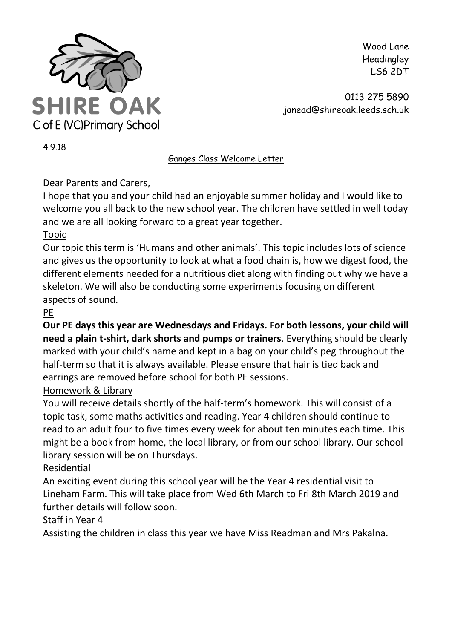

Wood Lane Headingley LS6 2DT

0113 275 5890 janead@shireoak.leeds.sch.uk

4.9.18

Ganges Class Welcome Letter

Dear Parents and Carers,

I hope that you and your child had an enjoyable summer holiday and I would like to welcome you all back to the new school year. The children have settled in well today and we are all looking forward to a great year together.

## Topic

Our topic this term is 'Humans and other animals'. This topic includes lots of science and gives us the opportunity to look at what a food chain is, how we digest food, the different elements needed for a nutritious diet along with finding out why we have a skeleton. We will also be conducting some experiments focusing on different aspects of sound.

# PE

**Our PE days this year are Wednesdays and Fridays. For both lessons, your child will need a plain t-shirt, dark shorts and pumps or trainers**. Everything should be clearly marked with your child's name and kept in a bag on your child's peg throughout the half-term so that it is always available. Please ensure that hair is tied back and earrings are removed before school for both PE sessions.

## Homework & Library

You will receive details shortly of the half-term's homework. This will consist of a topic task, some maths activities and reading. Year 4 children should continue to read to an adult four to five times every week for about ten minutes each time. This might be a book from home, the local library, or from our school library. Our school library session will be on Thursdays.

## Residential

An exciting event during this school year will be the Year 4 residential visit to Lineham Farm. This will take place from Wed 6th March to Fri 8th March 2019 and further details will follow soon.

### Staff in Year 4

Assisting the children in class this year we have Miss Readman and Mrs Pakalna.